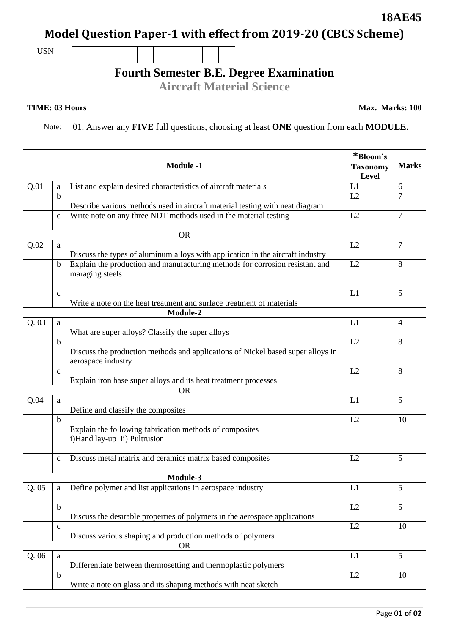## **Model Question Paper-1 with effect from 2019-20 (CBCS Scheme)**

USN

## **Fourth Semester B.E. Degree Examination**

**Aircraft Material Science**

## **TIME: 03 Hours**

Note: 01. Answer any **FIVE** full questions, choosing at least **ONE** question from each **MODULE**.

|                 |              | <b>Module -1</b>                                                                                      | *Bloom's<br><b>Taxonomy</b><br>Level | <b>Marks</b>   |
|-----------------|--------------|-------------------------------------------------------------------------------------------------------|--------------------------------------|----------------|
| Q.01            | a            | List and explain desired characteristics of aircraft materials                                        | L1                                   | 6              |
|                 | $\mathbf b$  | Describe various methods used in aircraft material testing with neat diagram                          | L2                                   | $\overline{7}$ |
|                 | $\mathbf c$  | Write note on any three NDT methods used in the material testing                                      | L2                                   | 7              |
| <b>OR</b>       |              |                                                                                                       |                                      |                |
| Q.02            | a            | Discuss the types of aluminum alloys with application in the aircraft industry                        | L2                                   | 7              |
|                 | $\mathbf b$  | Explain the production and manufacturing methods for corrosion resistant and<br>maraging steels       | L2                                   | 8              |
|                 | $\mathbf c$  | Write a note on the heat treatment and surface treatment of materials                                 | L1                                   | 5              |
|                 |              | Module-2                                                                                              |                                      |                |
| Q.03            | a            | What are super alloys? Classify the super alloys                                                      | L1                                   | $\overline{4}$ |
|                 | $\mathbf b$  | Discuss the production methods and applications of Nickel based super alloys in<br>aerospace industry | L2                                   | 8              |
|                 | $\mathbf{c}$ | Explain iron base super alloys and its heat treatment processes                                       | L2                                   | 8              |
|                 |              | <b>OR</b>                                                                                             |                                      |                |
| Q.04            | a            | Define and classify the composites                                                                    | L1                                   | 5              |
|                 | $\mathbf b$  | Explain the following fabrication methods of composites<br>i)Hand lay-up ii) Pultrusion               | L2                                   | 10             |
|                 | $\mathbf c$  | Discuss metal matrix and ceramics matrix based composites                                             | L2                                   | 5              |
| <b>Module-3</b> |              |                                                                                                       |                                      |                |
| Q. 05           | a            | Define polymer and list applications in aerospace industry                                            | L1                                   | 5              |
|                 | $\mathbf b$  | Discuss the desirable properties of polymers in the aerospace applications                            | L2                                   | 5              |
|                 | $\mathbf{C}$ | Discuss various shaping and production methods of polymers                                            | L2                                   | 10             |
| <b>OR</b>       |              |                                                                                                       |                                      |                |
| Q.06            | a            | Differentiate between thermosetting and thermoplastic polymers                                        | L1                                   | 5              |
|                 | $\mathbf b$  | Write a note on glass and its shaping methods with neat sketch                                        | L2                                   | 10             |

**18AE45**

**Max. Marks: 100**